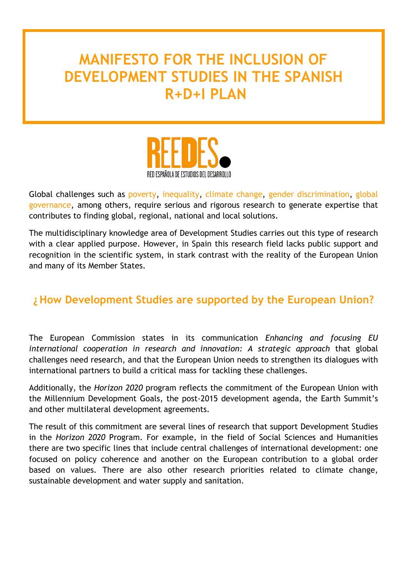## **MANIFESTO FOR THE INCLUSION OF DEVELOPMENT STUDIES IN THE SPANISH R+D+I PLAN**



Global challenges such as poverty, inequality, climate change, gender discrimination, global governance, among others, require serious and rigorous research to generate expertise that contributes to finding global, regional, national and local solutions.

The multidisciplinary knowledge area of Development Studies carries out this type of research with a clear applied purpose. However, in Spain this research field lacks public support and recognition in the scientific system, in stark contrast with the reality of the European Union and many of its Member States.

## **¿How Development Studies are supported by the European Union?**

The European Commission states in its communication *Enhancing and focusing EU*  international cooperation in research and innovation: A strategic approach that global challenges need research, and that the European Union needs to strengthen its dialogues with international partners to build a critical mass for tackling these challenges.

Additionally, the *Horizon 2020* program reflects the commitment of the European Union with the Millennium Development Goals, the post-2015 development agenda, the Earth Summit's and other multilateral development agreements.

The result of this commitment are several lines of research that support Development Studies in the *Horizon 2020* Program. For example, in the field of Social Sciences and Humanities there are two specific lines that include central challenges of international development: one focused on policy coherence and another on the European contribution to a global order based on values. There are also other research priorities related to climate change, sustainable development and water supply and sanitation.